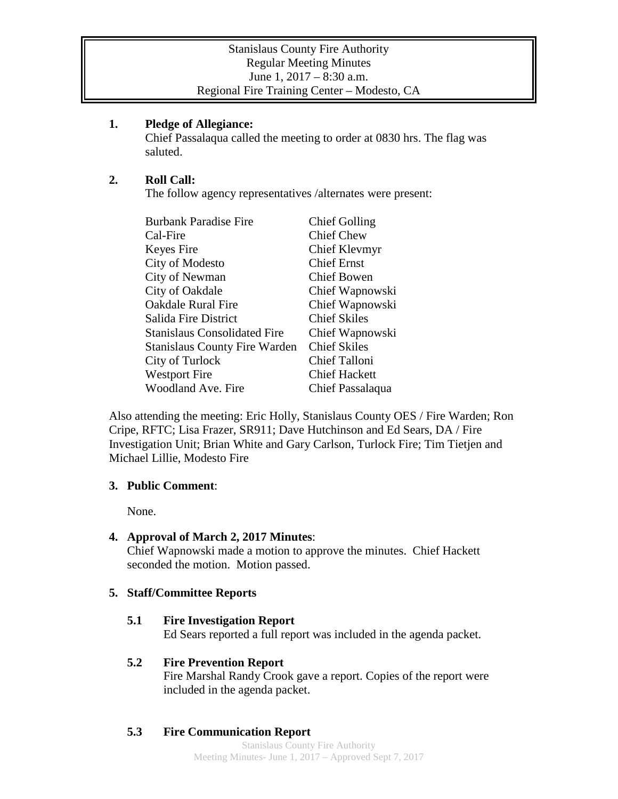#### **1. Pledge of Allegiance:**

Chief Passalaqua called the meeting to order at 0830 hrs. The flag was saluted.

## **2. Roll Call:**

The follow agency representatives /alternates were present:

| <b>Burbank Paradise Fire</b>         | <b>Chief Golling</b> |
|--------------------------------------|----------------------|
| Cal-Fire                             | <b>Chief Chew</b>    |
| Keyes Fire                           | Chief Klevmyr        |
| City of Modesto                      | <b>Chief Ernst</b>   |
| City of Newman                       | <b>Chief Bowen</b>   |
| City of Oakdale                      | Chief Wapnowski      |
| <b>Oakdale Rural Fire</b>            | Chief Wapnowski      |
| Salida Fire District                 | <b>Chief Skiles</b>  |
| <b>Stanislaus Consolidated Fire</b>  | Chief Wapnowski      |
| <b>Stanislaus County Fire Warden</b> | <b>Chief Skiles</b>  |
| City of Turlock                      | Chief Talloni        |
| <b>Westport Fire</b>                 | <b>Chief Hackett</b> |
| <b>Woodland Ave. Fire</b>            | Chief Passalaqua     |

Also attending the meeting: Eric Holly, Stanislaus County OES / Fire Warden; Ron Cripe, RFTC; Lisa Frazer, SR911; Dave Hutchinson and Ed Sears, DA / Fire Investigation Unit; Brian White and Gary Carlson, Turlock Fire; Tim Tietjen and Michael Lillie, Modesto Fire

## **3. Public Comment**:

None.

## **4. Approval of March 2, 2017 Minutes**:

Chief Wapnowski made a motion to approve the minutes. Chief Hackett seconded the motion. Motion passed.

# **5. Staff/Committee Reports**

## **5.1 Fire Investigation Report**

Ed Sears reported a full report was included in the agenda packet.

## **5.2 Fire Prevention Report**

Fire Marshal Randy Crook gave a report. Copies of the report were included in the agenda packet.

# **5.3 Fire Communication Report**